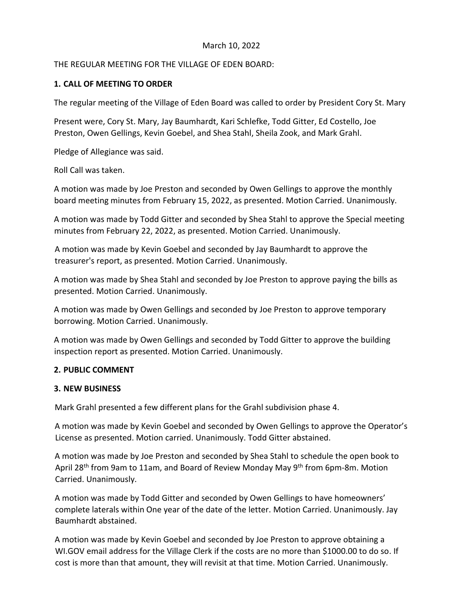## March 10, 2022

# THE REGULAR MEETING FOR THE VILLAGE OF EDEN BOARD:

# **1. CALL OF MEETING TO ORDER**

The regular meeting of the Village of Eden Board was called to order by President Cory St. Mary

Present were, Cory St. Mary, Jay Baumhardt, Kari Schlefke, Todd Gitter, Ed Costello, Joe Preston, Owen Gellings, Kevin Goebel, and Shea Stahl, Sheila Zook, and Mark Grahl.

Pledge of Allegiance was said.

Roll Call was taken.

A motion was made by Joe Preston and seconded by Owen Gellings to approve the monthly board meeting minutes from February 15, 2022, as presented. Motion Carried. Unanimously.

A motion was made by Todd Gitter and seconded by Shea Stahl to approve the Special meeting minutes from February 22, 2022, as presented. Motion Carried. Unanimously.

A motion was made by Kevin Goebel and seconded by Jay Baumhardt to approve the treasurer's report, as presented. Motion Carried. Unanimously.

A motion was made by Shea Stahl and seconded by Joe Preston to approve paying the bills as presented. Motion Carried. Unanimously.

A motion was made by Owen Gellings and seconded by Joe Preston to approve temporary borrowing. Motion Carried. Unanimously.

A motion was made by Owen Gellings and seconded by Todd Gitter to approve the building inspection report as presented. Motion Carried. Unanimously.

### **2. PUBLIC COMMENT**

### **3. NEW BUSINESS**

Mark Grahl presented a few different plans for the Grahl subdivision phase 4.

A motion was made by Kevin Goebel and seconded by Owen Gellings to approve the Operator's License as presented. Motion carried. Unanimously. Todd Gitter abstained.

A motion was made by Joe Preston and seconded by Shea Stahl to schedule the open book to April 28<sup>th</sup> from 9am to 11am, and Board of Review Monday May 9<sup>th</sup> from 6pm-8m. Motion Carried. Unanimously.

A motion was made by Todd Gitter and seconded by Owen Gellings to have homeowners' complete laterals within One year of the date of the letter. Motion Carried. Unanimously. Jay Baumhardt abstained.

A motion was made by Kevin Goebel and seconded by Joe Preston to approve obtaining a WI.GOV email address for the Village Clerk if the costs are no more than \$1000.00 to do so. If cost is more than that amount, they will revisit at that time. Motion Carried. Unanimously.